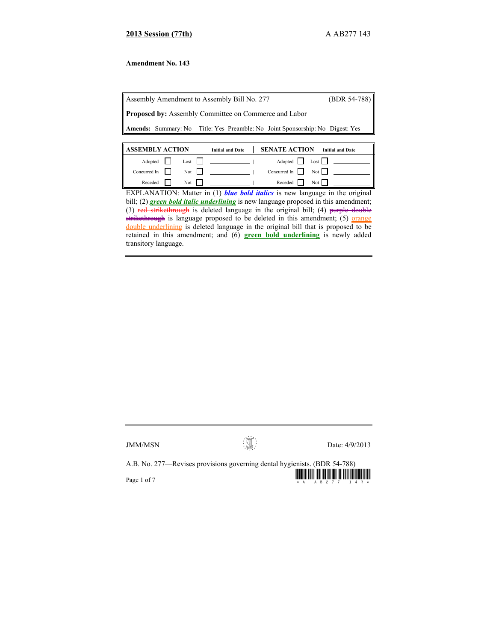# **2013 Session (77th)** A AB277 143

# **Amendment No. 143**

Assembly Amendment to Assembly Bill No. 277 (BDR 54-788) **Proposed by:** Assembly Committee on Commerce and Labor **Amends:** Summary: No Title: Yes Preamble: No Joint Sponsorship: No Digest: Yes

| <b>ASSEMBLY ACTION</b>     |  |                     | <b>Initial and Date</b> | <b>SENATE ACTION</b> | <b>Initial and Date</b>                  |
|----------------------------|--|---------------------|-------------------------|----------------------|------------------------------------------|
| Adopted                    |  | $\text{Loss}$       |                         |                      | Adopted $\Box$ Lost $\Box$               |
| Concurred In $\vert \vert$ |  | $Not$ $\vert \vert$ |                         |                      | Concurred In $\parallel$ Not $\parallel$ |
| Receded                    |  | Not $\vert \vert$   |                         | Receded   Not        |                                          |

EXPLANATION: Matter in (1) *blue bold italics* is new language in the original bill; (2) **green bold italic underlining** is new language proposed in this amendment; (3) red strikethrough is deleted language in the original bill; (4) purple double strikethrough is language proposed to be deleted in this amendment; (5) orange double underlining is deleted language in the original bill that is proposed to be retained in this amendment; and (6) **green bold underlining** is newly added transitory language.

 $JMM/MSN$  Date: 4/9/2013

A.B. No. 277—Revises provisions governing dental hygienists. (BDR 54-788)

Page 1 of 7  $\frac{1}{2}$   $\frac{1}{2}$   $\frac{1}{2}$   $\frac{1}{2}$   $\frac{1}{2}$   $\frac{1}{2}$   $\frac{1}{2}$   $\frac{1}{2}$   $\frac{1}{2}$   $\frac{1}{2}$   $\frac{1}{2}$   $\frac{1}{2}$   $\frac{1}{2}$   $\frac{1}{2}$   $\frac{1}{2}$   $\frac{1}{2}$   $\frac{1}{2}$   $\frac{1}{2}$   $\frac{1}{2}$   $\frac{1}{2}$   $\frac{1}{2}$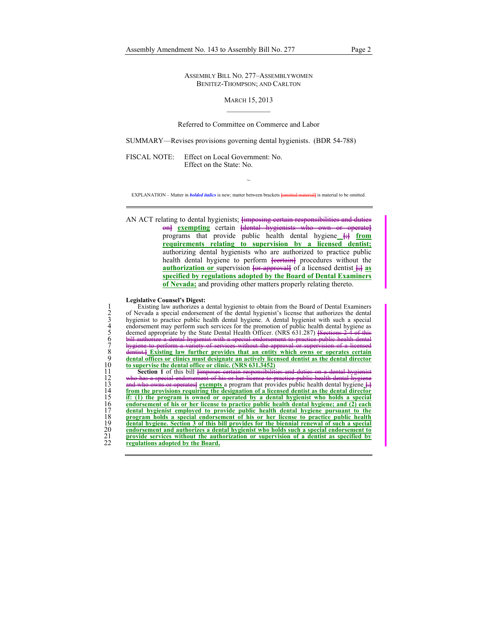ASSEMBLY BILL NO. 277–ASSEMBLYWOMEN BENITEZ-THOMPSON; AND CARLTON

#### MARCH 15, 2013

## Referred to Committee on Commerce and Labor

SUMMARY—Revises provisions governing dental hygienists. (BDR 54-788)

FISCAL NOTE: Effect on Local Government: No. Effect on the State: No.

~ EXPLANATION – Matter in *bolded italics* is new; matter between brackets **[**omitted material**]** is material to be omitted.

AN ACT relating to dental hygienists; **[**imposing certain responsibilities and duties on**] exempting** certain **[**dental hygienists who own or operate**]** programs that provide public health dental hygiene **[**;**] from requirements relating to supervision by a licensed dentist;** authorizing dental hygienists who are authorized to practice public health dental hygiene to perform **[certain]** procedures without the **authorization** or supervision  $\overline{\text{er}}$  **approxspecified by regulations adopted by the Board of Dental Examiners of Nevada;** and providing other matters properly relating thereto.

#### **Legislative Counsel's Digest:**

Existing law authorizes a dental hygienist to obtain from the Board of Dental Examiners<br>
2 of Nevada a special endorsement of the dental hygienist's license that authorizes the dental<br>
hygienist to practice public health d 2 of Nevada a special endorsement of the dental hygienist's license that authorizes the dental 3 hygienist to practice public health dental hygiene. A dental hygienist with such a special 4 endorsement may perform such services for the promotion of public health dental hygiene as 5 deemed appropriate by the State Dental Health Officer. (NRS 631.287) **[**Sections 2-4 of this 6 bill authorize a dental hygienist with a special endorsement to practice public health dental 7 hygiene to perform a variety of services without the approval or supervision of a licensed 8 dentist.**] Existing law further provides that an entity which owns or operates certain**  dental offices or clinics must designate an actively licensed dentist as the dental director 10 **to supervise the dental office or clinic. (NRS 631.3452)**<br>11 **Section 1** of this bill <del>[imposes certain responsibiliti</del>

11 **Section 1** of this bill <del>[imposes certain responsibilities and</del><br>12 who has a special endorsement of his or her license to practice<br>13 and who ewns or operates <u>exempts</u> a program that provides pu has a special endorsement of his 13 and who owns or operates<sup>[</sup> exempts a program that provides public health dental hygiene  $\frac{1}{14}$  from the provisions requiring the designation of a licensed dentist as the dental director 14 **from the provisions requiring the designation of a licensed dentist as the dental director**<br>
15 **if:** (1) the program is owned or operated by a dental hygienist who holds a special<br>
16 **dental hygienist employed to pro** 15 **if: (1) the program is owned or operated by a dental hygienist who holds a special**  16 **endorsement of his or her license to practice public health dental hygiene; and (2) each**  17 **dental hygienist employed to provide public health dental hygiene pursuant to the**<br>
18 **program holds a special endorsement of his or her license to practice public health**<br>
19 **dental hygiene.** Section 3 of this bill 18 **program holds a special endorsement of his or her license to practice public health**  19 **dental hygiene. Section 3 of this bill provides for the biennial renewal of such a special EXECUTE 20**<br>20 **endorsement and authorizes a dental hygienist who holds such a special endorsement to**<br>22 **provide services without the authorization or supervision of a dentist as specified by**<br>22 **regulations adopted by** 21 **provide services without the authorization or supervision of a dentist as specified by regulations adopted by the Board.**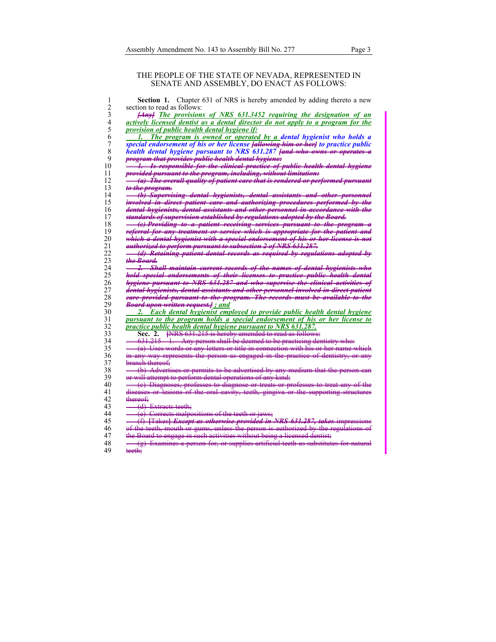### THE PEOPLE OF THE STATE OF NEVADA, REPRESENTED IN SENATE AND ASSEMBLY, DO ENACT AS FOLLOWS:

| 1              | Section 1. Chapter 631 of NRS is hereby amended by adding thereto a new                        |
|----------------|------------------------------------------------------------------------------------------------|
| $\overline{c}$ | section to read as follows:                                                                    |
| 3              | <b>Hanyl</b> The provisions of NRS 631.3452 requiring the designation of an                    |
| 4              | actively licensed dentist as a dental director do not apply to a program for the               |
| 5              | <i>provision of public health dental hygiene if:</i>                                           |
| 6              | The program is owned or operated by a dental hygienist who holds a<br>L.                       |
| 7              | special endorsement of his or her license <b>fallowing him or herl</b> to practice public      |
| 8              | health dental hygiene pursuant to NRS 631.287 fand who owns or operates a                      |
|                |                                                                                                |
| 9              | program that provides public health dental hygiene:                                            |
| 10             | 1. Is responsible for the clinical practice of public health dental hygiene                    |
| 11             | provided pursuant to the program, including, without limitation:                               |
| 12             | (a) The overall quality of patient care that is rendered or performed pursuant                 |
| 13             | <del>to the program.</del>                                                                     |
| 14             | (b) Supervising dental hygienists, dental assistants and other personnel                       |
| 15             | <del>involved in direct patient care and authorizing procedures performed by the</del>         |
| 16             | <del>dental hygienists, dental assistants and other personnel in accordance with the</del>     |
| 17             | standards of supervision established by regulations adopted by the Board.                      |
| 18             | <u>(e) Providing to a patient receiving services pursuant to the program a</u>                 |
| 19             | referral for any treatment or service which is appropriate for the patient and                 |
| 20             | which a dental hygienist with a special endorsement of his or her license is not               |
| 21             | authorized to perform pursuant to subsection 2 of NRS 631.207.                                 |
| 22             | (d) Retaining patient dental records as required by regulations adopted by                     |
| 23             | <del>the Board.</del>                                                                          |
| 24             | <del>2. Shall maintain current records of the names of dental hygienists who</del>             |
| 25             | <del>hold special endorsements of their licenses to practice public health dental</del>        |
|                |                                                                                                |
| 26             | hygiene pursuant to NRS 631.287 and who supervise the elinical activities of                   |
| 27<br>28       | <del>dental hygienists, dental assistants and other personnel involved in direct patient</del> |
|                | eare provided pursuant to the program. The records must be available to the                    |
| 29             | <b>Board upon written request.</b> and                                                         |
| 30             | 2. Each dental hygienist employed to provide public health dental hygiene                      |
| 31             | pursuant to the program holds a special endorsement of his or her license to                   |
| 32             | <i>practice public health dental hygiene pursuant to NRS 631.287.</i>                          |
| 33             | <b>FNRS</b> 631.215 is hereby amended to read as follows:<br>Sec. 2.                           |
| 34             | 631.215 1. Any person shall be deemed to be practicing dentistry who:                          |
| 35             | (a) Uses words or any letters or title in connection with his or her name which                |
| 36             | in any way represents the person as engaged in the practice of dentistry, or any               |
| 37             | branch thereof:                                                                                |
| 38             | (b) Advertises or permits to be advertised by any medium that the person ean                   |
| 39             | or will attempt to perform dental operations of any kind;                                      |
| 40             | (e) Diagnoses, professes to diagnose or treats or professes to treat any of the                |
| 41             | diseases or lesions of the oral eavity, teeth, gingiva or the supporting structures            |
| 42             | <del>thereof</del> ÷                                                                           |
| 43             | <del>- (d) Extracts teeth;</del>                                                               |
| 44             | (e) Corrects malpositions of the teeth or jaws;                                                |
|                |                                                                                                |
| 45             | (f) [Takes] Except as otherwise provided in NRS 631.287, takes impressions                     |
| 46             | of the teeth, mouth or gums, unless the person is authorized by the regulations                |
| 47             | the Board to engage in such activities without being a licensed dentist;                       |
| 48             | (g) Examines a person for, or supplies artificial teeth as substitutes for natural             |
| 49             | teeth:                                                                                         |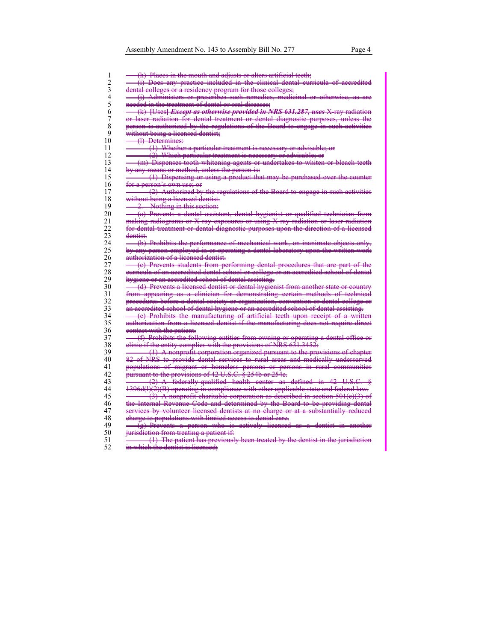1  $\rightarrow$  (h) Places in the mouth and adjusts or alters artificial teeth;<br>2  $\rightarrow$  (i) Does any practice included in the clinical dental cur  $2 \leftarrow$  (i) Does any practice included in the clinical dental curricula of accredited dental colleges or a residency program for those colleges; eolleges or a residency program for those colleges;  $4 \longrightarrow (j)$  Administers or prescribes such remedies, medicinal or otherwise, as are<br>5 meeded in the treatment of dental or oral diseases; 5 needed in the treatment of dental or oral diseases;<br>6 <del>(b)</del> Uses] *Except as otherwise provided in* 6 (k) **[**Uses**]** *Except as otherwise provided in NRS 631.287, uses* X-ray radiation 7 or laser radiation for dental treatment or dental diagnostic purposes,<br>8 person is authorized by the regulations of the Board to engage in suc 8 person is authorized by the regulations of the Board to engage in such activitie<br>9 without being a licensed dentist: 9 without being a licensed dentist;<br>10 <del>(1) Determines:</del> (I) Determines: 11 (1) Whether a particular treatment is necessary or advisable; or 12 (2) Which particular treatment is necessary or advisable; or 13 (m) Dispenses tooth whitening agents or undertakes to whiten or bleach teeth 14 by any means or method, unless the person is: 15 (1) Dispensing or using a product that may be purchased over the counter 16 for a person's own use; or 17 (2) Authorized by the regulations of the Board to engage in such activities 18 without being a licensed dentist. 19 - 2. Nothing in this section:<br>20 - (a) Prevents a dental assis 20 (a) Prevents a dental assistant, dental hygienist or qualified technician from 21 making radiograms or X-ray exposures or using X-ray radiation or laser radiation<br>22 for dental treatment or dental diagnostic purposes upon the direction of a license 22 for dental treatment or dental diagnostic purposes upon the direction of a licensed dentist. 24 (b) Prohibits the performance of mechanical work, on inanimate objects only<br>25 by any person employed in or operating a dental laboratory upon the written wor any person employed in or operating a dental laboratory upon the written work 26 authorization of a licensed dentist. 27 (e) Prevents students from performing dental procedures that are part of example 28 eurrieula of an accredited dental school or college or an accredited school of de 28 eurricula of an accredited dental school or college or an accredited school of dental<br>29 hydrone or an accredited school of dental assisting. 29 hygiene or an accredited school of dental assisting.<br>30 **(a)** Prevents a licensed dentist or dental hygien 30 (d) Prevents a licensed dentist or dental hygienist from another state or country<br>31 from appearing as a clinician for demonstrating certain methods of technic appearing as a clinician for demonstrating certain methods of technica<br>dures before a dental society or organization, convention or dental college o 32 procedures before a dental society or organization,<br>33 can accredited school of dental hygiene or an accredi 33 an accredited school of dental hygiene or an accredited school of dental assisting.<br>34 **- Common Common Common Common Common Common Common Common Common Common Common Common Common Common Common** 34 (e) Prohibits the manufacturing of artificial teeth upon receipt of a written 35 authorization from a licensed dentist if the manufacturing does not require direct 36 eentact with the patient. 37 (f) Prohibits the following entities from owning or operating a dental office or 38 elinic if the entity complies with the provisions of NRS  $631.3452$ : 39 (1) A nonprofit corporation organized pursuant to the provisions of chapter 40 82 of NRS to provide dental services to rural areas and medically underserved<br>41 populations of migrant or homeless persons or persons in rural communities 41 populations of migrant or homeless persons or persons in rural communities<br>42 pursuant to the provisions of 42 U.S.C. § 254b or 254e. 42 pursuant to the provisions of  $42 \text{ U.S.C.}$   $\frac{2}{3}$   $\frac{254 \text{ b} \text{ or } 254 \text{ e}}{(2)}$  A federally qualified health center as  $\frac{(2)$  A federally qualified health center as defined in 42 U.S.C.<br>1396d(1)(2)(B) operating in compliance with other applicable state and federal la  $44$  1396d(l)(2)(B) operating in compliance with other applicable state and federal law 45  $\leftarrow$  (3) A nonprofit charitable corporation as described in section 501(e)(3) of 46 the Internal Revenue Code and determined by the Board to be providing 47 services by volunteer licensed dentists at no charge or at a substantially reduced 48 eharge to populations with limited access to dental care.  $49 \quad \overline{9}$  Prevents a person who is actively licensed as a dentist in another 50 jurisdiction from treating a patient if:<br>51  $\rightarrow$  (1) The patient has previously (1) The patient has previously been treated by the dentist in the jurisdiction 52 in which the dentist is licensed;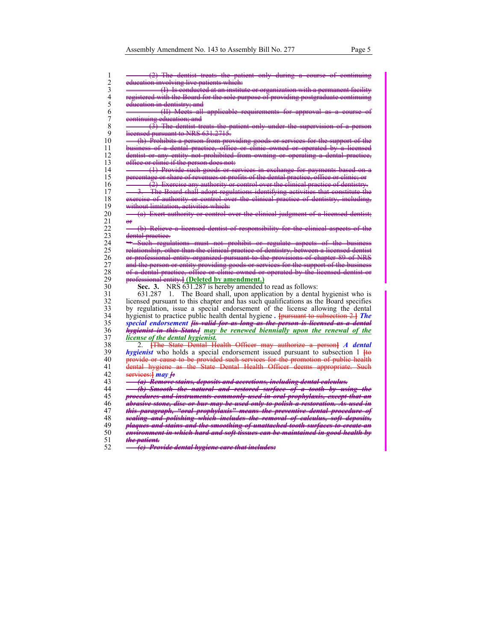|                         | education involving live patients which:                                                    |
|-------------------------|---------------------------------------------------------------------------------------------|
|                         | (I) Is conducted at an institute or organization with a permanent facility                  |
|                         | registered with the Board for the sole purpose of providing postgraduate continuing         |
|                         | education in dentistry; and                                                                 |
|                         | (II) Meets all applicable requirements for approval as a course                             |
|                         | continuing education; and                                                                   |
|                         | $(3)$ The dentist treats the patient only under the supervision of a person                 |
|                         | licensed pursuant to NRS 631.2715.                                                          |
|                         | (h) Prohibits a person from providing goods or services for the support of the              |
|                         | business of a dental practice, office or elinic owned or operated by a licensed             |
|                         | dentist or any entity not prohibited from owning or operating a dental practice,            |
|                         | office or clinic if the person does not:                                                    |
|                         | (1) Provide such goods or services in exchange for payments based on a                      |
|                         | percentage or share of revenues or profits of the dental practice, office or clinic; or     |
|                         |                                                                                             |
|                         | $\overline{2}$ ) Exercise any authority or control over the clinical practice of dentistry. |
|                         | 3. The Board shall adopt regulations identifying activities that constitute the             |
|                         | exercise of authority or control over the clinical practice of dentistry, including,        |
|                         | without limitation, activities which:                                                       |
|                         | (a) Exert authority or control over the clinical judgment of a licensed dentist;            |
| $\overline{e}$          |                                                                                             |
|                         | (b) Relieve a licensed dentist of responsibility for the clinical aspects of the            |
|                         | dental practice.                                                                            |
|                         | Such regulations must not prohibit or regulate aspects of the business                      |
|                         | relationship, other than the elinical practice of dentistry, between a licensed dentist     |
|                         |                                                                                             |
|                         | or professional entity organized pursuant to the provisions of chapter 89 of NRS            |
|                         | and the person or entity providing goods or services for the support of the business        |
|                         | of a dental practice, office or elinic owned or operated by the licensed dentist or         |
|                         | professional entity.] (Deleted by amendment.)                                               |
|                         | Sec. 3. NRS 631.287 is hereby amended to read as follows:                                   |
|                         | $631.287$ 1. The Board shall, upon application by a dental hygienist who is                 |
|                         | licensed pursuant to this chapter and has such qualifications as the Board specifies        |
|                         | by regulation, issue a special endorsement of the license allowing the dental               |
|                         | hygienist to practice public health dental hygiene. <b>[pursuant to subsection 2.] The</b>  |
|                         | special endorsement <i>fis</i> valid for as long as the person is licensed as a dental      |
|                         | <del>hygienist in this State.]</del> may be renewed biennially upon the renewal of the      |
|                         | license of the dental hygienist.                                                            |
|                         |                                                                                             |
|                         | 2. <b>The State Dental Health Officer may authorize a person] A dental</b>                  |
|                         | <i>hygienist</i> who holds a special endorsement issued pursuant to subsection 1 He         |
|                         | provide or cause to be provided such services for the promotion of public health            |
|                         | dental hygiene as the State Dental Health Officer deems appropriate. Such                   |
|                         | services: $\frac{1}{2}$ may $\frac{1}{2}$                                                   |
|                         | (a) Remove stains, deposits and accretions, including dental calculus.                      |
|                         | (b) Smooth the natural and restored surface of a tooth by using the                         |
|                         | procedures and instruments commonly used in oral prophylaxis, except that an                |
|                         | abrasive stone, dise or bur may be used only to polish a restoration. As used in            |
|                         | <del>this paragraph, "oral prophylaxis" means the preventive dental procedure of</del>      |
|                         |                                                                                             |
|                         | sealing and polishing which includes the removal of calculus, soft deposits,                |
|                         | <del>plaques and stains and the smoothing of unattached tooth surfaces to create an</del>   |
|                         |                                                                                             |
| <del>the patient.</del> | <del>environment in which hard and soft tissues ean be maintained in good health by</del>   |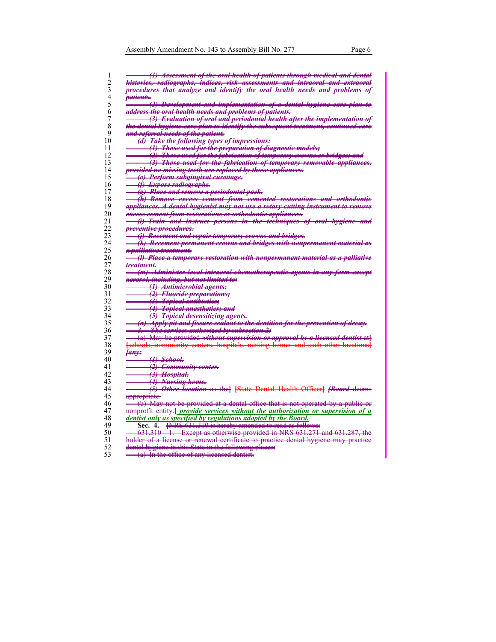| (1) Assessment of the oral health of patients through medical and dental                              |
|-------------------------------------------------------------------------------------------------------|
| <del>histories, radiographs, indices, risk assessments and intraoral and extraoral</del>              |
| procedures that analyze and identify the oral health needs and problems of                            |
|                                                                                                       |
| <i>vatients.</i>                                                                                      |
| (2) Development and implementation of a dental hygiene eare plan to                                   |
| <del>address the oral health needs and problems of patients.</del>                                    |
| (3) Evaluation of oral and periodontal health after the implementation of                             |
| <del>the dental hygiene eare plan to identify the subsequent treatment, continued eare</del>          |
| <del>and referral needs of the patient.</del>                                                         |
| (d) Take the following types of impressions:                                                          |
| (1) Those used for the preparation of diagnostic models;                                              |
| (2) Those used for the fabrication of temporary erowns or bridges; and                                |
| (3) Those used for the fabrication of temporary removable appliances,                                 |
| provided no missing teeth are replaced by those appliances.                                           |
| (e) Perform subgingival eurettage.                                                                    |
|                                                                                                       |
| <del>(f) Expose radiographs.</del>                                                                    |
| (g) Place and remove a periodontal pack.                                                              |
| (h) Remove execss cement from cemented restorations and orthodontic                                   |
| appliances. A dental hygienist may not use a rotary cutting instrument to remove                      |
| execss ecment from restorations or orthodontic appliances.                                            |
| (i) Train and instruct persons in the techniques of oral hygiene and                                  |
| preventive procedures.                                                                                |
| (i) Recement and repair temporary erowns and bridges.                                                 |
| (k) Recement permanent erowns and bridges with nonpermanent material as                               |
| <del>a palliative treatment.</del>                                                                    |
| (l) Place a temporary restoration with nonpermanent material as a palliative                          |
| <del>treatment.</del>                                                                                 |
| (m) Administer local intraoral chemotherapeutic agents in any form except                             |
| <del>aerosol, including, but not limited to:</del>                                                    |
|                                                                                                       |
| <del>(1)</del> Antimierobial agents;                                                                  |
| (2) Fluoride preparations;                                                                            |
| (3) Topical antibiotics;                                                                              |
| <del>(4) Topical anesthetics; and</del>                                                               |
| <del>(5) Topical desensitizing agents.</del>                                                          |
| (n) Apply pit and fissure sealant to the dentition for the prevention of deeay.                       |
| <del>The services authorized by subsection 2:</del><br>—                                              |
| (a) May be provided without supervision or approval by a licensed dentist at                          |
| [schools, community centers, hospitals, nursing homes and such other locations]                       |
| <del>lanv:</del>                                                                                      |
|                                                                                                       |
| (1) Sehool <del>.</del><br>(2) Community center.                                                      |
|                                                                                                       |
| $\overbrace{\qquad \qquad }^{(3)}$ Hospital.                                                          |
| (4) Nursing home.                                                                                     |
| (5) Other location as the [State Dental Health Officer] [Board deems                                  |
| <del>appropriate.</del>                                                                               |
| $\rightarrow$ (b) May not be provided at a dental office that is not operated by a public or          |
| <del>nonprofit entity.]</del> provide services without the authorization or supervision of a          |
| dentist only as specified by regulations adopted by the Board.                                        |
| <b>PNRS</b> 631.310 is hereby amended to read as follows:<br>Sec. 4.                                  |
|                                                                                                       |
|                                                                                                       |
| 631.310 1. Except as otherwise provided in NRS 631.271 and 631.287, the                               |
| holder of a license or renewal certificate to practice dental hygiene may practice                    |
| dental hygiene in this State in the following places:<br>$(a)$ In the office of any licensed dentist. |